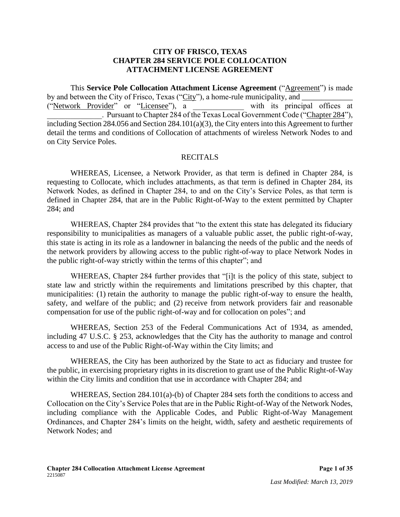#### **CITY OF FRISCO, TEXAS CHAPTER 284 SERVICE POLE COLLOCATION ATTACHMENT LICENSE AGREEMENT**

This **Service Pole Collocation Attachment License Agreement** ("Agreement") is made by and between the City of Frisco, Texas ("City"), a home-rule municipality, and ("Network Provider" or "Licensee"), a with its principal offices at . Pursuant to Chapter 284 of the Texas Local Government Code ("Chapter 284"), including Section 284.056 and Section 284.101(a)(3), the City enters into this Agreement to further detail the terms and conditions of Collocation of attachments of wireless Network Nodes to and on City Service Poles.

#### RECITALS

WHEREAS, Licensee, a Network Provider, as that term is defined in Chapter 284, is requesting to Collocate, which includes attachments, as that term is defined in Chapter 284, its Network Nodes, as defined in Chapter 284, to and on the City's Service Poles, as that term is defined in Chapter 284, that are in the Public Right-of-Way to the extent permitted by Chapter 284; and

WHEREAS, Chapter 284 provides that "to the extent this state has delegated its fiduciary responsibility to municipalities as managers of a valuable public asset, the public right-of-way, this state is acting in its role as a landowner in balancing the needs of the public and the needs of the network providers by allowing access to the public right-of-way to place Network Nodes in the public right-of-way strictly within the terms of this chapter"; and

WHEREAS, Chapter 284 further provides that "[i]t is the policy of this state, subject to state law and strictly within the requirements and limitations prescribed by this chapter, that municipalities: (1) retain the authority to manage the public right-of-way to ensure the health, safety, and welfare of the public; and (2) receive from network providers fair and reasonable compensation for use of the public right-of-way and for collocation on poles"; and

WHEREAS, Section 253 of the Federal Communications Act of 1934, as amended, including 47 U.S.C. § 253, acknowledges that the City has the authority to manage and control access to and use of the Public Right-of-Way within the City limits; and

WHEREAS, the City has been authorized by the State to act as fiduciary and trustee for the public, in exercising proprietary rights in its discretion to grant use of the Public Right-of-Way within the City limits and condition that use in accordance with Chapter 284; and

WHEREAS, Section 284.101(a)-(b) of Chapter 284 sets forth the conditions to access and Collocation on the City's Service Poles that are in the Public Right-of-Way of the Network Nodes, including compliance with the Applicable Codes, and Public Right-of-Way Management Ordinances, and Chapter 284's limits on the height, width, safety and aesthetic requirements of Network Nodes; and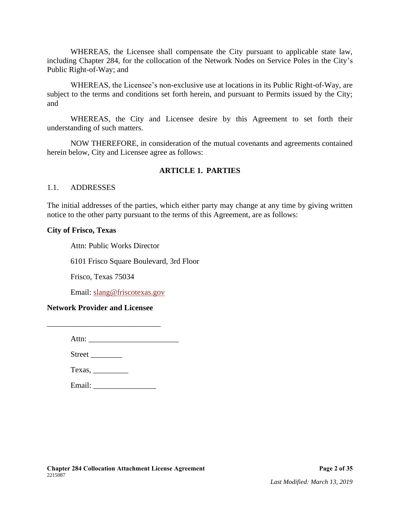WHEREAS, the Licensee shall compensate the City pursuant to applicable state law, including Chapter 284, for the collocation of the Network Nodes on Service Poles in the City's Public Right-of-Way; and

WHEREAS, the Licensee's non-exclusive use at locations in its Public Right-of-Way, are subject to the terms and conditions set forth herein, and pursuant to Permits issued by the City; and

WHEREAS, the City and Licensee desire by this Agreement to set forth their understanding of such matters.

NOW THEREFORE, in consideration of the mutual covenants and agreements contained herein below, City and Licensee agree as follows:

#### **ARTICLE 1. PARTIES**

#### 1.1. ADDRESSES

The initial addresses of the parties, which either party may change at any time by giving written notice to the other party pursuant to the terms of this Agreement, are as follows:

#### **City of Frisco, Texas**

Attn: Public Works Director

6101 Frisco Square Boulevard, 3rd Floor

Frisco, Texas 75034

Email: [slang@friscotexas.gov](mailto:slang@friscotexas.gov)

#### **Network Provider and Licensee**

\_\_\_\_\_\_\_\_\_\_\_\_\_\_\_\_\_\_\_\_\_\_\_\_\_\_\_\_\_

| Attn: |  |  |  |
|-------|--|--|--|
|       |  |  |  |

Street \_\_\_\_\_\_\_\_

| Texas, |  |
|--------|--|
|        |  |

Email: \_\_\_\_\_\_\_\_\_\_\_\_\_\_\_\_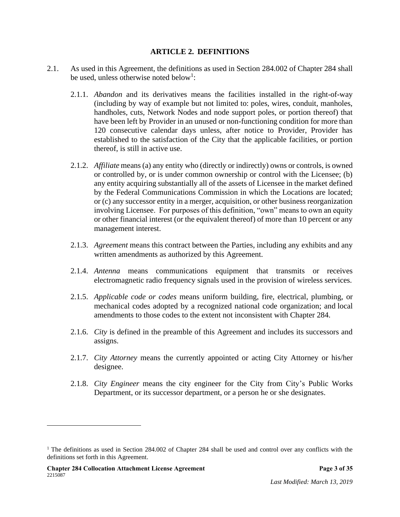#### **ARTICLE 2. DEFINITIONS**

- 2.1. As used in this Agreement, the definitions as used in Section 284.002 of Chapter 284 shall be used, unless otherwise noted below<sup>1</sup>:
	- 2.1.1. *Abandon* and its derivatives means the facilities installed in the right-of-way (including by way of example but not limited to: poles, wires, conduit, manholes, handholes, cuts, Network Nodes and node support poles, or portion thereof) that have been left by Provider in an unused or non-functioning condition for more than 120 consecutive calendar days unless, after notice to Provider, Provider has established to the satisfaction of the City that the applicable facilities, or portion thereof, is still in active use.
	- 2.1.2. *Affiliate* means (a) any entity who (directly or indirectly) owns or controls, is owned or controlled by, or is under common ownership or control with the Licensee; (b) any entity acquiring substantially all of the assets of Licensee in the market defined by the Federal Communications Commission in which the Locations are located; or (c) any successor entity in a merger, acquisition, or other business reorganization involving Licensee. For purposes of this definition, "own" means to own an equity or other financial interest (or the equivalent thereof) of more than 10 percent or any management interest.
	- 2.1.3. *Agreement* means this contract between the Parties, including any exhibits and any written amendments as authorized by this Agreement.
	- 2.1.4. *Antenna* means communications equipment that transmits or receives electromagnetic radio frequency signals used in the provision of wireless services.
	- 2.1.5. *Applicable code or codes* means uniform building, fire, electrical, plumbing, or mechanical codes adopted by a recognized national code organization; and local amendments to those codes to the extent not inconsistent with Chapter 284.
	- 2.1.6. *City* is defined in the preamble of this Agreement and includes its successors and assigns.
	- 2.1.7. *City Attorney* means the currently appointed or acting City Attorney or his/her designee.
	- 2.1.8. *City Engineer* means the city engineer for the City from City's Public Works Department, or its successor department, or a person he or she designates.

<sup>&</sup>lt;sup>1</sup> The definitions as used in Section 284.002 of Chapter 284 shall be used and control over any conflicts with the definitions set forth in this Agreement.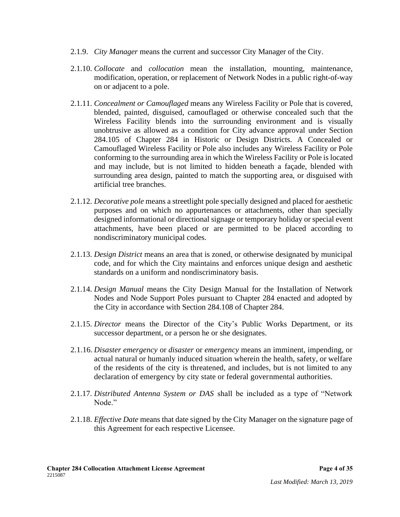- 2.1.9. *City Manager* means the current and successor City Manager of the City.
- 2.1.10. *Collocate* and *collocation* mean the installation, mounting, maintenance, modification, operation, or replacement of Network Nodes in a public right-of-way on or adjacent to a pole.
- 2.1.11. *Concealment or Camouflaged* means any Wireless Facility or Pole that is covered, blended, painted, disguised, camouflaged or otherwise concealed such that the Wireless Facility blends into the surrounding environment and is visually unobtrusive as allowed as a condition for City advance approval under Section 284.105 of Chapter 284 in Historic or Design Districts. A Concealed or Camouflaged Wireless Facility or Pole also includes any Wireless Facility or Pole conforming to the surrounding area in which the Wireless Facility or Pole is located and may include, but is not limited to hidden beneath a façade, blended with surrounding area design, painted to match the supporting area, or disguised with artificial tree branches.
- 2.1.12. *Decorative pole* means a streetlight pole specially designed and placed for aesthetic purposes and on which no appurtenances or attachments, other than specially designed informational or directional signage or temporary holiday or special event attachments, have been placed or are permitted to be placed according to nondiscriminatory municipal codes.
- 2.1.13. *Design District* means an area that is zoned, or otherwise designated by municipal code, and for which the City maintains and enforces unique design and aesthetic standards on a uniform and nondiscriminatory basis.
- 2.1.14. *Design Manual* means the City Design Manual for the Installation of Network Nodes and Node Support Poles pursuant to Chapter 284 enacted and adopted by the City in accordance with Section 284.108 of Chapter 284.
- 2.1.15. *Director* means the Director of the City's Public Works Department, or its successor department, or a person he or she designates.
- 2.1.16. *Disaster emergency* or *disaster* or *emergency* means an imminent, impending, or actual natural or humanly induced situation wherein the health, safety, or welfare of the residents of the city is threatened, and includes, but is not limited to any declaration of emergency by city state or federal governmental authorities.
- 2.1.17. *Distributed Antenna System or DAS* shall be included as a type of "Network Node."
- 2.1.18. *Effective Date* means that date signed by the City Manager on the signature page of this Agreement for each respective Licensee.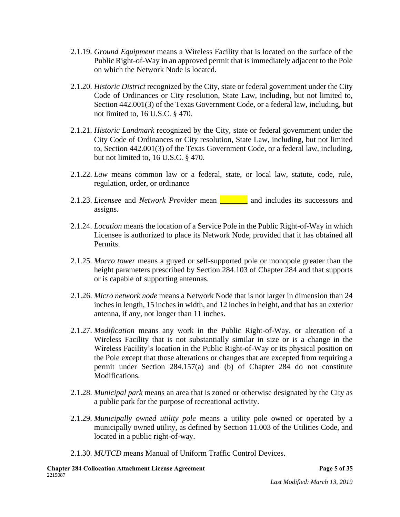- 2.1.19. *Ground Equipment* means a Wireless Facility that is located on the surface of the Public Right-of-Way in an approved permit that is immediately adjacent to the Pole on which the Network Node is located.
- 2.1.20. *Historic District* recognized by the City, state or federal government under the City Code of Ordinances or City resolution, State Law, including, but not limited to, Section 442.001(3) of the Texas Government Code, or a federal law, including, but not limited to, 16 U.S.C. § 470.
- 2.1.21. *Historic Landmark* recognized by the City, state or federal government under the City Code of Ordinances or City resolution, State Law, including, but not limited to, Section 442.001(3) of the Texas Government Code, or a federal law, including, but not limited to, 16 U.S.C. § 470.
- 2.1.22. *Law* means common law or a federal, state, or local law, statute, code, rule, regulation, order, or ordinance
- 2.1.23. *Licensee* and *Network Provider* mean \_\_\_\_\_\_\_ and includes its successors and assigns.
- 2.1.24. *Location* means the location of a Service Pole in the Public Right-of-Way in which Licensee is authorized to place its Network Node, provided that it has obtained all Permits.
- 2.1.25. *Macro tower* means a guyed or self-supported pole or monopole greater than the height parameters prescribed by Section 284.103 of Chapter 284 and that supports or is capable of supporting antennas.
- 2.1.26. *Micro network node* means a Network Node that is not larger in dimension than 24 inches in length, 15 inches in width, and 12 inches in height, and that has an exterior antenna, if any, not longer than 11 inches.
- 2.1.27. *Modification* means any work in the Public Right-of-Way, or alteration of a Wireless Facility that is not substantially similar in size or is a change in the Wireless Facility's location in the Public Right-of-Way or its physical position on the Pole except that those alterations or changes that are excepted from requiring a permit under Section 284.157(a) and (b) of Chapter 284 do not constitute Modifications.
- 2.1.28. *Municipal park* means an area that is zoned or otherwise designated by the City as a public park for the purpose of recreational activity.
- 2.1.29. *Municipally owned utility pole* means a utility pole owned or operated by a municipally owned utility, as defined by Section 11.003 of the Utilities Code, and located in a public right-of-way.
- 2.1.30. *MUTCD* means Manual of Uniform Traffic Control Devices.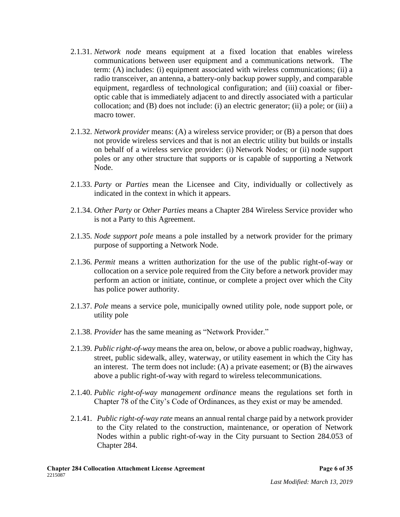- 2.1.31. *Network node* means equipment at a fixed location that enables wireless communications between user equipment and a communications network. The term: (A) includes: (i) equipment associated with wireless communications; (ii) a radio transceiver, an antenna, a battery-only backup power supply, and comparable equipment, regardless of technological configuration; and (iii) coaxial or fiberoptic cable that is immediately adjacent to and directly associated with a particular collocation; and (B) does not include: (i) an electric generator; (ii) a pole; or (iii) a macro tower.
- 2.1.32. *Network provider* means: (A) a wireless service provider; or (B) a person that does not provide wireless services and that is not an electric utility but builds or installs on behalf of a wireless service provider: (i) Network Nodes; or (ii) node support poles or any other structure that supports or is capable of supporting a Network Node.
- 2.1.33. *Party* or *Parties* mean the Licensee and City, individually or collectively as indicated in the context in which it appears.
- 2.1.34. *Other Party* or *Other Parties* means a Chapter 284 Wireless Service provider who is not a Party to this Agreement.
- 2.1.35. *Node support pole* means a pole installed by a network provider for the primary purpose of supporting a Network Node.
- 2.1.36. *Permit* means a written authorization for the use of the public right-of-way or collocation on a service pole required from the City before a network provider may perform an action or initiate, continue, or complete a project over which the City has police power authority.
- 2.1.37. *Pole* means a service pole, municipally owned utility pole, node support pole, or utility pole
- 2.1.38. *Provider* has the same meaning as "Network Provider."
- 2.1.39. *Public right-of-way* means the area on, below, or above a public roadway, highway, street, public sidewalk, alley, waterway, or utility easement in which the City has an interest. The term does not include: (A) a private easement; or (B) the airwaves above a public right-of-way with regard to wireless telecommunications.
- 2.1.40. *Public right-of-way management ordinance* means the regulations set forth in Chapter 78 of the City's Code of Ordinances, as they exist or may be amended.
- 2.1.41. *Public right-of-way rate* means an annual rental charge paid by a network provider to the City related to the construction, maintenance, or operation of Network Nodes within a public right-of-way in the City pursuant to Section 284.053 of Chapter 284.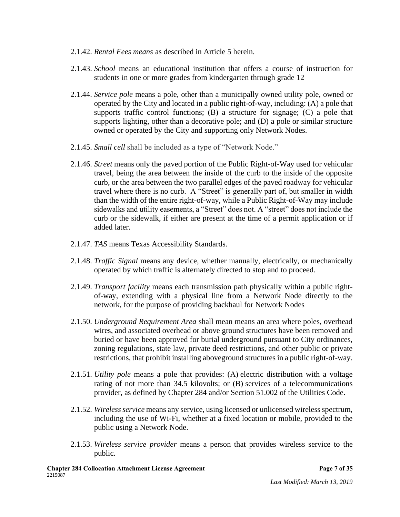- 2.1.42. *Rental Fees means* as described in Article 5 herein*.*
- 2.1.43. *School* means an educational institution that offers a course of instruction for students in one or more grades from kindergarten through grade 12
- 2.1.44. *Service pole* means a pole, other than a municipally owned utility pole, owned or operated by the City and located in a public right-of-way, including: (A) a pole that supports traffic control functions; (B) a structure for signage; (C) a pole that supports lighting, other than a decorative pole; and (D) a pole or similar structure owned or operated by the City and supporting only Network Nodes.
- 2.1.45. *Small cell* shall be included as a type of "Network Node."
- 2.1.46. *Street* means only the paved portion of the Public Right-of-Way used for vehicular travel, being the area between the inside of the curb to the inside of the opposite curb, or the area between the two parallel edges of the paved roadway for vehicular travel where there is no curb. A "Street" is generally part of, but smaller in width than the width of the entire right-of-way, while a Public Right-of-Way may include sidewalks and utility easements, a "Street" does not. A "street" does not include the curb or the sidewalk, if either are present at the time of a permit application or if added later.
- 2.1.47. *TAS* means Texas Accessibility Standards.
- 2.1.48. *Traffic Signal* means any device, whether manually, electrically, or mechanically operated by which traffic is alternately directed to stop and to proceed.
- 2.1.49. *Transport facility* means each transmission path physically within a public rightof-way, extending with a physical line from a Network Node directly to the network, for the purpose of providing backhaul for Network Nodes
- 2.1.50. *Underground Requirement Area* shall mean means an area where poles, overhead wires, and associated overhead or above ground structures have been removed and buried or have been approved for burial underground pursuant to City ordinances, zoning regulations, state law, private deed restrictions, and other public or private restrictions, that prohibit installing aboveground structures in a public right-of-way.
- 2.1.51. *Utility pole* means a pole that provides: (A) electric distribution with a voltage rating of not more than 34.5 kilovolts; or (B) services of a telecommunications provider, as defined by Chapter 284 and/or Section 51.002 of the Utilities Code.
- 2.1.52. *Wireless service* means any service, using licensed or unlicensed wireless spectrum, including the use of Wi-Fi, whether at a fixed location or mobile, provided to the public using a Network Node.
- 2.1.53. *Wireless service provider* means a person that provides wireless service to the public.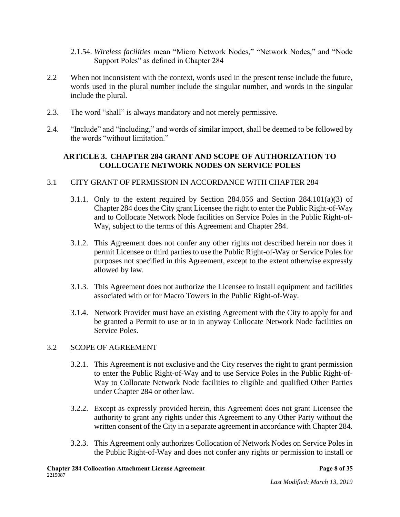- 2.1.54. *Wireless facilities* mean "Micro Network Nodes," "Network Nodes," and "Node Support Poles" as defined in Chapter 284
- 2.2 When not inconsistent with the context, words used in the present tense include the future, words used in the plural number include the singular number, and words in the singular include the plural.
- 2.3. The word "shall" is always mandatory and not merely permissive.
- 2.4. "Include" and "including," and words of similar import, shall be deemed to be followed by the words "without limitation."

## **ARTICLE 3. CHAPTER 284 GRANT AND SCOPE OF AUTHORIZATION TO COLLOCATE NETWORK NODES ON SERVICE POLES**

## 3.1 CITY GRANT OF PERMISSION IN ACCORDANCE WITH CHAPTER 284

- 3.1.1. Only to the extent required by Section 284.056 and Section 284.101(a)(3) of Chapter 284 does the City grant Licensee the right to enter the Public Right-of-Way and to Collocate Network Node facilities on Service Poles in the Public Right-of-Way, subject to the terms of this Agreement and Chapter 284.
- 3.1.2. This Agreement does not confer any other rights not described herein nor does it permit Licensee or third parties to use the Public Right-of-Way or Service Poles for purposes not specified in this Agreement, except to the extent otherwise expressly allowed by law.
- 3.1.3. This Agreement does not authorize the Licensee to install equipment and facilities associated with or for Macro Towers in the Public Right-of-Way.
- 3.1.4. Network Provider must have an existing Agreement with the City to apply for and be granted a Permit to use or to in anyway Collocate Network Node facilities on Service Poles.

## 3.2 SCOPE OF AGREEMENT

- 3.2.1. This Agreement is not exclusive and the City reserves the right to grant permission to enter the Public Right-of-Way and to use Service Poles in the Public Right-of-Way to Collocate Network Node facilities to eligible and qualified Other Parties under Chapter 284 or other law.
- 3.2.2. Except as expressly provided herein, this Agreement does not grant Licensee the authority to grant any rights under this Agreement to any Other Party without the written consent of the City in a separate agreement in accordance with Chapter 284.
- 3.2.3. This Agreement only authorizes Collocation of Network Nodes on Service Poles in the Public Right-of-Way and does not confer any rights or permission to install or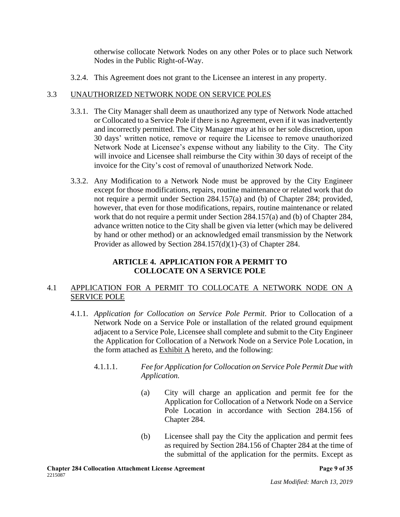otherwise collocate Network Nodes on any other Poles or to place such Network Nodes in the Public Right-of-Way.

3.2.4. This Agreement does not grant to the Licensee an interest in any property.

## 3.3 UNAUTHORIZED NETWORK NODE ON SERVICE POLES

- 3.3.1. The City Manager shall deem as unauthorized any type of Network Node attached or Collocated to a Service Pole if there is no Agreement, even if it was inadvertently and incorrectly permitted. The City Manager may at his or her sole discretion, upon 30 days' written notice, remove or require the Licensee to remove unauthorized Network Node at Licensee's expense without any liability to the City. The City will invoice and Licensee shall reimburse the City within 30 days of receipt of the invoice for the City's cost of removal of unauthorized Network Node.
- 3.3.2. Any Modification to a Network Node must be approved by the City Engineer except for those modifications, repairs, routine maintenance or related work that do not require a permit under Section 284.157(a) and (b) of Chapter 284; provided, however, that even for those modifications, repairs, routine maintenance or related work that do not require a permit under Section 284.157(a) and (b) of Chapter 284, advance written notice to the City shall be given via letter (which may be delivered by hand or other method) or an acknowledged email transmission by the Network Provider as allowed by Section 284.157(d)(1)-(3) of Chapter 284.

## **ARTICLE 4. APPLICATION FOR A PERMIT TO COLLOCATE ON A SERVICE POLE**

## 4.1 APPLICATION FOR A PERMIT TO COLLOCATE A NETWORK NODE ON A SERVICE POLE

- 4.1.1. *Application for Collocation on Service Pole Permit*. Prior to Collocation of a Network Node on a Service Pole or installation of the related ground equipment adjacent to a Service Pole, Licensee shall complete and submit to the City Engineer the Application for Collocation of a Network Node on a Service Pole Location, in the form attached as Exhibit A hereto, and the following:
	- 4.1.1.1. *Fee for Application for Collocation on Service Pole Permit Due with Application.*
		- (a) City will charge an application and permit fee for the Application for Collocation of a Network Node on a Service Pole Location in accordance with Section 284.156 of Chapter 284.
		- (b) Licensee shall pay the City the application and permit fees as required by Section 284.156 of Chapter 284 at the time of the submittal of the application for the permits. Except as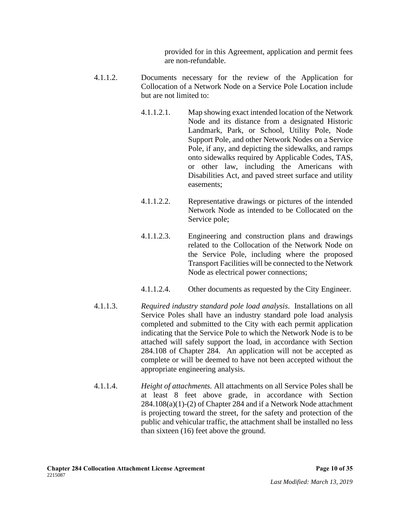provided for in this Agreement, application and permit fees are non-refundable.

- 4.1.1.2. Documents necessary for the review of the Application for Collocation of a Network Node on a Service Pole Location include but are not limited to:
	- 4.1.1.2.1. Map showing exact intended location of the Network Node and its distance from a designated Historic Landmark, Park, or School, Utility Pole, Node Support Pole, and other Network Nodes on a Service Pole, if any, and depicting the sidewalks, and ramps onto sidewalks required by Applicable Codes, TAS, or other law, including the Americans with Disabilities Act, and paved street surface and utility easements;
	- 4.1.1.2.2. Representative drawings or pictures of the intended Network Node as intended to be Collocated on the Service pole;
	- 4.1.1.2.3. Engineering and construction plans and drawings related to the Collocation of the Network Node on the Service Pole, including where the proposed Transport Facilities will be connected to the Network Node as electrical power connections;
	- 4.1.1.2.4. Other documents as requested by the City Engineer.
- 4.1.1.3. *Required industry standard pole load analysis*. Installations on all Service Poles shall have an industry standard pole load analysis completed and submitted to the City with each permit application indicating that the Service Pole to which the Network Node is to be attached will safely support the load, in accordance with Section 284.108 of Chapter 284. An application will not be accepted as complete or will be deemed to have not been accepted without the appropriate engineering analysis.
- 4.1.1.4. *Height of attachments.* All attachments on all Service Poles shall be at least 8 feet above grade, in accordance with Section 284.108(a)(1)-(2) of Chapter 284 and if a Network Node attachment is projecting toward the street, for the safety and protection of the public and vehicular traffic, the attachment shall be installed no less than sixteen (16) feet above the ground.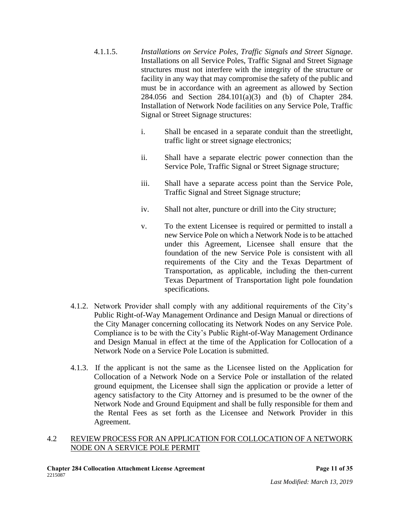- 4.1.1.5. *Installations on Service Poles, Traffic Signals and Street Signage*. Installations on all Service Poles, Traffic Signal and Street Signage structures must not interfere with the integrity of the structure or facility in any way that may compromise the safety of the public and must be in accordance with an agreement as allowed by Section 284.056 and Section 284.101(a)(3) and (b) of Chapter 284. Installation of Network Node facilities on any Service Pole, Traffic Signal or Street Signage structures:
	- i. Shall be encased in a separate conduit than the streetlight, traffic light or street signage electronics;
	- ii. Shall have a separate electric power connection than the Service Pole, Traffic Signal or Street Signage structure;
	- iii. Shall have a separate access point than the Service Pole, Traffic Signal and Street Signage structure;
	- iv. Shall not alter, puncture or drill into the City structure;
	- v. To the extent Licensee is required or permitted to install a new Service Pole on which a Network Node is to be attached under this Agreement, Licensee shall ensure that the foundation of the new Service Pole is consistent with all requirements of the City and the Texas Department of Transportation, as applicable, including the then-current Texas Department of Transportation light pole foundation specifications.
- 4.1.2. Network Provider shall comply with any additional requirements of the City's Public Right-of-Way Management Ordinance and Design Manual or directions of the City Manager concerning collocating its Network Nodes on any Service Pole. Compliance is to be with the City's Public Right-of-Way Management Ordinance and Design Manual in effect at the time of the Application for Collocation of a Network Node on a Service Pole Location is submitted.
- 4.1.3. If the applicant is not the same as the Licensee listed on the Application for Collocation of a Network Node on a Service Pole or installation of the related ground equipment, the Licensee shall sign the application or provide a letter of agency satisfactory to the City Attorney and is presumed to be the owner of the Network Node and Ground Equipment and shall be fully responsible for them and the Rental Fees as set forth as the Licensee and Network Provider in this Agreement.

## 4.2 REVIEW PROCESS FOR AN APPLICATION FOR COLLOCATION OF A NETWORK NODE ON A SERVICE POLE PERMIT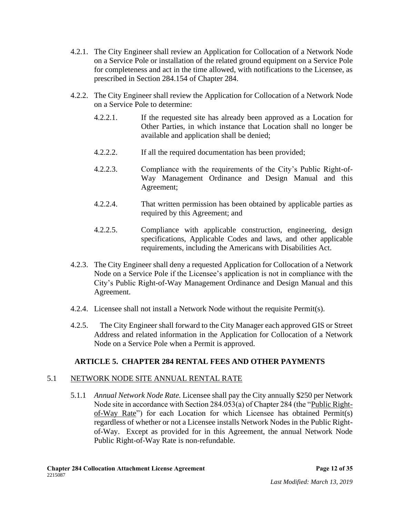- 4.2.1. The City Engineer shall review an Application for Collocation of a Network Node on a Service Pole or installation of the related ground equipment on a Service Pole for completeness and act in the time allowed, with notifications to the Licensee, as prescribed in Section 284.154 of Chapter 284.
- 4.2.2. The City Engineer shall review the Application for Collocation of a Network Node on a Service Pole to determine:
	- 4.2.2.1. If the requested site has already been approved as a Location for Other Parties, in which instance that Location shall no longer be available and application shall be denied;
	- 4.2.2.2. If all the required documentation has been provided;
	- 4.2.2.3. Compliance with the requirements of the City's Public Right-of-Way Management Ordinance and Design Manual and this Agreement;
	- 4.2.2.4. That written permission has been obtained by applicable parties as required by this Agreement; and
	- 4.2.2.5. Compliance with applicable construction, engineering, design specifications, Applicable Codes and laws, and other applicable requirements, including the Americans with Disabilities Act.
- 4.2.3. The City Engineer shall deny a requested Application for Collocation of a Network Node on a Service Pole if the Licensee's application is not in compliance with the City's Public Right-of-Way Management Ordinance and Design Manual and this Agreement.
- 4.2.4. Licensee shall not install a Network Node without the requisite Permit(s).
- 4.2.5. The City Engineer shall forward to the City Manager each approved GIS or Street Address and related information in the Application for Collocation of a Network Node on a Service Pole when a Permit is approved.

# **ARTICLE 5. CHAPTER 284 RENTAL FEES AND OTHER PAYMENTS**

# 5.1 NETWORK NODE SITE ANNUAL RENTAL RATE

5.1.1 *Annual Network Node Rate.* Licensee shall pay the City annually \$250 per Network Node site in accordance with Section 284.053(a) of Chapter 284 (the "Public Rightof-Way Rate") for each Location for which Licensee has obtained Permit(s) regardless of whether or not a Licensee installs Network Nodes in the Public Rightof-Way. Except as provided for in this Agreement, the annual Network Node Public Right-of-Way Rate is non-refundable.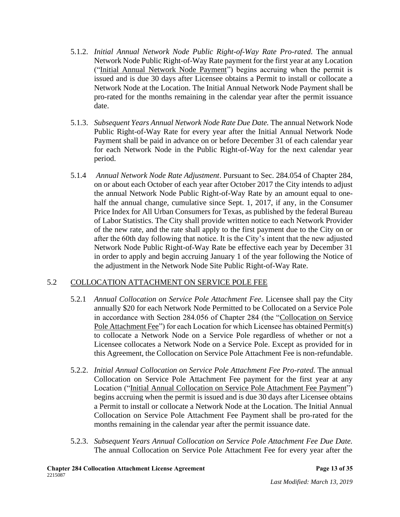- 5.1.2. *Initial Annual Network Node Public Right-of-Way Rate Pro-rated.* The annual Network Node Public Right-of-Way Rate payment for the first year at any Location ("Initial Annual Network Node Payment") begins accruing when the permit is issued and is due 30 days after Licensee obtains a Permit to install or collocate a Network Node at the Location. The Initial Annual Network Node Payment shall be pro-rated for the months remaining in the calendar year after the permit issuance date.
- 5.1.3. *Subsequent Years Annual Network Node Rate Due Date.* The annual Network Node Public Right-of-Way Rate for every year after the Initial Annual Network Node Payment shall be paid in advance on or before December 31 of each calendar year for each Network Node in the Public Right-of-Way for the next calendar year period.
- 5.1.4 *Annual Network Node Rate Adjustment*. Pursuant to Sec. 284.054 of Chapter 284, on or about each October of each year after October 2017 the City intends to adjust the annual Network Node Public Right-of-Way Rate by an amount equal to onehalf the annual change, cumulative since Sept. 1, 2017, if any, in the Consumer Price Index for All Urban Consumers for Texas, as published by the federal Bureau of Labor Statistics. The City shall provide written notice to each Network Provider of the new rate, and the rate shall apply to the first payment due to the City on or after the 60th day following that notice. It is the City's intent that the new adjusted Network Node Public Right-of-Way Rate be effective each year by December 31 in order to apply and begin accruing January 1 of the year following the Notice of the adjustment in the Network Node Site Public Right-of-Way Rate.

## 5.2 COLLOCATION ATTACHMENT ON SERVICE POLE FEE

- 5.2.1 *Annual Collocation on Service Pole Attachment Fee.* Licensee shall pay the City annually \$20 for each Network Node Permitted to be Collocated on a Service Pole in accordance with Section 284.056 of Chapter 284 (the "Collocation on Service Pole Attachment Fee") for each Location for which Licensee has obtained Permit(s) to collocate a Network Node on a Service Pole regardless of whether or not a Licensee collocates a Network Node on a Service Pole. Except as provided for in this Agreement, the Collocation on Service Pole Attachment Fee is non-refundable.
- 5.2.2. *Initial Annual Collocation on Service Pole Attachment Fee Pro-rated.* The annual Collocation on Service Pole Attachment Fee payment for the first year at any Location ("Initial Annual Collocation on Service Pole Attachment Fee Payment") begins accruing when the permit is issued and is due 30 days after Licensee obtains a Permit to install or collocate a Network Node at the Location. The Initial Annual Collocation on Service Pole Attachment Fee Payment shall be pro-rated for the months remaining in the calendar year after the permit issuance date.
- 5.2.3. *Subsequent Years Annual Collocation on Service Pole Attachment Fee Due Date.*  The annual Collocation on Service Pole Attachment Fee for every year after the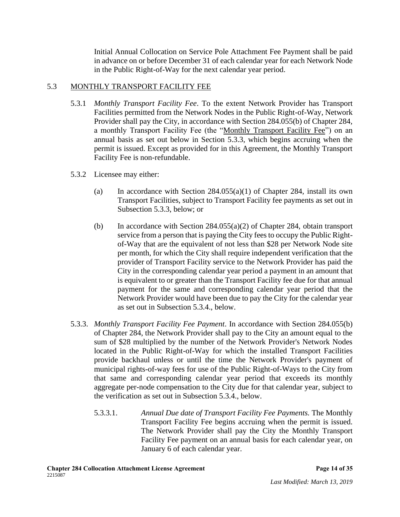Initial Annual Collocation on Service Pole Attachment Fee Payment shall be paid in advance on or before December 31 of each calendar year for each Network Node in the Public Right-of-Way for the next calendar year period.

## 5.3 MONTHLY TRANSPORT FACILITY FEE

- 5.3.1 *Monthly Transport Facility Fee*. To the extent Network Provider has Transport Facilities permitted from the Network Nodes in the Public Right-of-Way, Network Provider shall pay the City, in accordance with Section 284.055(b) of Chapter 284, a monthly Transport Facility Fee (the "Monthly Transport Facility Fee") on an annual basis as set out below in Section 5.3.3, which begins accruing when the permit is issued. Except as provided for in this Agreement, the Monthly Transport Facility Fee is non-refundable.
- 5.3.2 Licensee may either:
	- (a) In accordance with Section  $284.055(a)(1)$  of Chapter 284, install its own Transport Facilities, subject to Transport Facility fee payments as set out in Subsection 5.3.3, below; or
	- (b) In accordance with Section 284.055(a)(2) of Chapter 284, obtain transport service from a person that is paying the City fees to occupy the Public Rightof-Way that are the equivalent of not less than \$28 per Network Node site per month, for which the City shall require independent verification that the provider of Transport Facility service to the Network Provider has paid the City in the corresponding calendar year period a payment in an amount that is equivalent to or greater than the Transport Facility fee due for that annual payment for the same and corresponding calendar year period that the Network Provider would have been due to pay the City for the calendar year as set out in Subsection 5.3.4., below.
- 5.3.3. *Monthly Transport Facility Fee Payment*. In accordance with Section 284.055(b) of Chapter 284, the Network Provider shall pay to the City an amount equal to the sum of \$28 multiplied by the number of the Network Provider's Network Nodes located in the Public Right-of-Way for which the installed Transport Facilities provide backhaul unless or until the time the Network Provider's payment of municipal rights-of-way fees for use of the Public Right-of-Ways to the City from that same and corresponding calendar year period that exceeds its monthly aggregate per-node compensation to the City due for that calendar year, subject to the verification as set out in Subsection 5.3.4., below.
	- 5.3.3.1. *Annual Due date of Transport Facility Fee Payments.* The Monthly Transport Facility Fee begins accruing when the permit is issued. The Network Provider shall pay the City the Monthly Transport Facility Fee payment on an annual basis for each calendar year, on January 6 of each calendar year.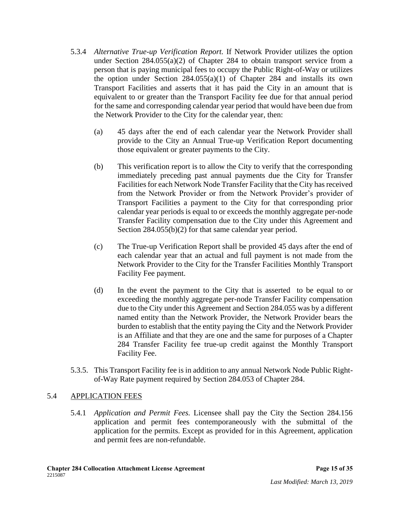- 5.3.4 *Alternative True-up Verification Report.* If Network Provider utilizes the option under Section 284.055(a)(2) of Chapter 284 to obtain transport service from a person that is paying municipal fees to occupy the Public Right-of-Way or utilizes the option under Section 284.055(a)(1) of Chapter 284 and installs its own Transport Facilities and asserts that it has paid the City in an amount that is equivalent to or greater than the Transport Facility fee due for that annual period for the same and corresponding calendar year period that would have been due from the Network Provider to the City for the calendar year, then:
	- (a) 45 days after the end of each calendar year the Network Provider shall provide to the City an Annual True-up Verification Report documenting those equivalent or greater payments to the City.
	- (b) This verification report is to allow the City to verify that the corresponding immediately preceding past annual payments due the City for Transfer Facilities for each Network Node Transfer Facility that the City has received from the Network Provider or from the Network Provider's provider of Transport Facilities a payment to the City for that corresponding prior calendar year periods is equal to or exceeds the monthly aggregate per-node Transfer Facility compensation due to the City under this Agreement and Section 284.055(b)(2) for that same calendar year period.
	- (c) The True-up Verification Report shall be provided 45 days after the end of each calendar year that an actual and full payment is not made from the Network Provider to the City for the Transfer Facilities Monthly Transport Facility Fee payment.
	- (d) In the event the payment to the City that is asserted to be equal to or exceeding the monthly aggregate per-node Transfer Facility compensation due to the City under this Agreement and Section 284.055 was by a different named entity than the Network Provider, the Network Provider bears the burden to establish that the entity paying the City and the Network Provider is an Affiliate and that they are one and the same for purposes of a Chapter 284 Transfer Facility fee true-up credit against the Monthly Transport Facility Fee.
- 5.3.5. This Transport Facility fee is in addition to any annual Network Node Public Rightof-Way Rate payment required by Section 284.053 of Chapter 284.

## 5.4 APPLICATION FEES

5.4.1 *Application and Permit Fees.* Licensee shall pay the City the Section 284.156 application and permit fees contemporaneously with the submittal of the application for the permits. Except as provided for in this Agreement, application and permit fees are non-refundable.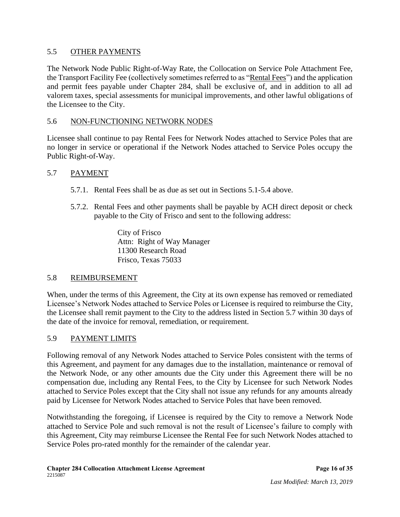## 5.5 OTHER PAYMENTS

The Network Node Public Right-of-Way Rate, the Collocation on Service Pole Attachment Fee, the Transport Facility Fee (collectively sometimes referred to as "Rental Fees") and the application and permit fees payable under Chapter 284, shall be exclusive of, and in addition to all ad valorem taxes, special assessments for municipal improvements, and other lawful obligations of the Licensee to the City.

## 5.6 NON-FUNCTIONING NETWORK NODES

Licensee shall continue to pay Rental Fees for Network Nodes attached to Service Poles that are no longer in service or operational if the Network Nodes attached to Service Poles occupy the Public Right-of-Way.

## 5.7 PAYMENT

- 5.7.1. Rental Fees shall be as due as set out in Sections 5.1-5.4 above.
- 5.7.2. Rental Fees and other payments shall be payable by ACH direct deposit or check payable to the City of Frisco and sent to the following address:

City of Frisco Attn: Right of Way Manager 11300 Research Road Frisco, Texas 75033

# 5.8 REIMBURSEMENT

When, under the terms of this Agreement, the City at its own expense has removed or remediated Licensee's Network Nodes attached to Service Poles or Licensee is required to reimburse the City, the Licensee shall remit payment to the City to the address listed in Section 5.7 within 30 days of the date of the invoice for removal, remediation, or requirement.

# 5.9 PAYMENT LIMITS

Following removal of any Network Nodes attached to Service Poles consistent with the terms of this Agreement, and payment for any damages due to the installation, maintenance or removal of the Network Node, or any other amounts due the City under this Agreement there will be no compensation due, including any Rental Fees, to the City by Licensee for such Network Nodes attached to Service Poles except that the City shall not issue any refunds for any amounts already paid by Licensee for Network Nodes attached to Service Poles that have been removed.

Notwithstanding the foregoing, if Licensee is required by the City to remove a Network Node attached to Service Pole and such removal is not the result of Licensee's failure to comply with this Agreement, City may reimburse Licensee the Rental Fee for such Network Nodes attached to Service Poles pro-rated monthly for the remainder of the calendar year.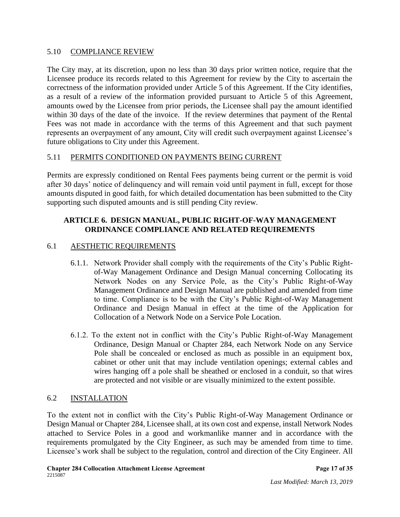## 5.10 COMPLIANCE REVIEW

The City may, at its discretion, upon no less than 30 days prior written notice, require that the Licensee produce its records related to this Agreement for review by the City to ascertain the correctness of the information provided under Article 5 of this Agreement. If the City identifies, as a result of a review of the information provided pursuant to Article 5 of this Agreement, amounts owed by the Licensee from prior periods, the Licensee shall pay the amount identified within 30 days of the date of the invoice. If the review determines that payment of the Rental Fees was not made in accordance with the terms of this Agreement and that such payment represents an overpayment of any amount, City will credit such overpayment against Licensee's future obligations to City under this Agreement.

# 5.11 PERMITS CONDITIONED ON PAYMENTS BEING CURRENT

Permits are expressly conditioned on Rental Fees payments being current or the permit is void after 30 days' notice of delinquency and will remain void until payment in full, except for those amounts disputed in good faith, for which detailed documentation has been submitted to the City supporting such disputed amounts and is still pending City review.

## **ARTICLE 6. DESIGN MANUAL, PUBLIC RIGHT-OF-WAY MANAGEMENT ORDINANCE COMPLIANCE AND RELATED REQUIREMENTS**

## 6.1 AESTHETIC REQUIREMENTS

- 6.1.1. Network Provider shall comply with the requirements of the City's Public Rightof-Way Management Ordinance and Design Manual concerning Collocating its Network Nodes on any Service Pole, as the City's Public Right-of-Way Management Ordinance and Design Manual are published and amended from time to time. Compliance is to be with the City's Public Right-of-Way Management Ordinance and Design Manual in effect at the time of the Application for Collocation of a Network Node on a Service Pole Location.
- 6.1.2. To the extent not in conflict with the City's Public Right-of-Way Management Ordinance, Design Manual or Chapter 284, each Network Node on any Service Pole shall be concealed or enclosed as much as possible in an equipment box, cabinet or other unit that may include ventilation openings; external cables and wires hanging off a pole shall be sheathed or enclosed in a conduit, so that wires are protected and not visible or are visually minimized to the extent possible.

## 6.2 INSTALLATION

To the extent not in conflict with the City's Public Right-of-Way Management Ordinance or Design Manual or Chapter 284, Licensee shall, at its own cost and expense, install Network Nodes attached to Service Poles in a good and workmanlike manner and in accordance with the requirements promulgated by the City Engineer, as such may be amended from time to time. Licensee's work shall be subject to the regulation, control and direction of the City Engineer. All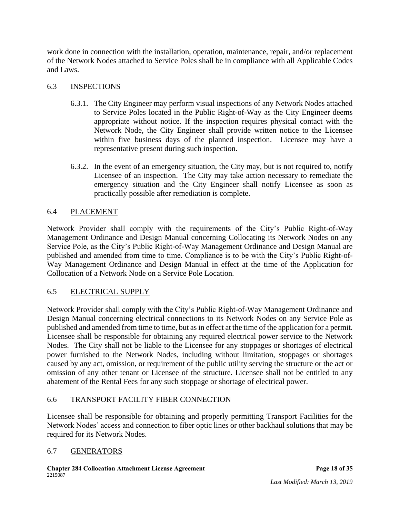work done in connection with the installation, operation, maintenance, repair, and/or replacement of the Network Nodes attached to Service Poles shall be in compliance with all Applicable Codes and Laws.

## 6.3 INSPECTIONS

- 6.3.1. The City Engineer may perform visual inspections of any Network Nodes attached to Service Poles located in the Public Right-of-Way as the City Engineer deems appropriate without notice. If the inspection requires physical contact with the Network Node, the City Engineer shall provide written notice to the Licensee within five business days of the planned inspection. Licensee may have a representative present during such inspection.
- 6.3.2. In the event of an emergency situation, the City may, but is not required to, notify Licensee of an inspection. The City may take action necessary to remediate the emergency situation and the City Engineer shall notify Licensee as soon as practically possible after remediation is complete.

## 6.4 PLACEMENT

Network Provider shall comply with the requirements of the City's Public Right-of-Way Management Ordinance and Design Manual concerning Collocating its Network Nodes on any Service Pole, as the City's Public Right-of-Way Management Ordinance and Design Manual are published and amended from time to time. Compliance is to be with the City's Public Right-of-Way Management Ordinance and Design Manual in effect at the time of the Application for Collocation of a Network Node on a Service Pole Location*.*

## 6.5 ELECTRICAL SUPPLY

Network Provider shall comply with the City's Public Right-of-Way Management Ordinance and Design Manual concerning electrical connections to its Network Nodes on any Service Pole as published and amended from time to time, but as in effect at the time of the application for a permit. Licensee shall be responsible for obtaining any required electrical power service to the Network Nodes. The City shall not be liable to the Licensee for any stoppages or shortages of electrical power furnished to the Network Nodes, including without limitation, stoppages or shortages caused by any act, omission, or requirement of the public utility serving the structure or the act or omission of any other tenant or Licensee of the structure. Licensee shall not be entitled to any abatement of the Rental Fees for any such stoppage or shortage of electrical power.

## 6.6 TRANSPORT FACILITY FIBER CONNECTION

Licensee shall be responsible for obtaining and properly permitting Transport Facilities for the Network Nodes' access and connection to fiber optic lines or other backhaul solutions that may be required for its Network Nodes.

## 6.7 GENERATORS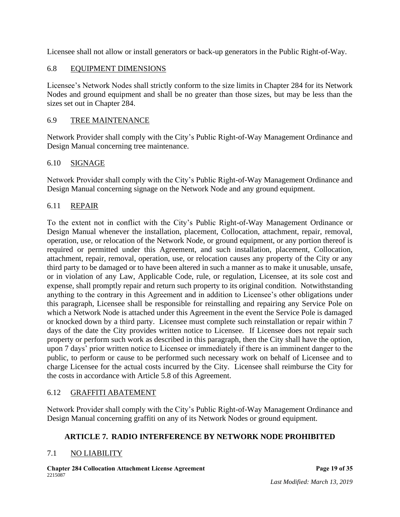Licensee shall not allow or install generators or back-up generators in the Public Right-of-Way.

## 6.8 EQUIPMENT DIMENSIONS

Licensee's Network Nodes shall strictly conform to the size limits in Chapter 284 for its Network Nodes and ground equipment and shall be no greater than those sizes, but may be less than the sizes set out in Chapter 284.

## 6.9 TREE MAINTENANCE

Network Provider shall comply with the City's Public Right-of-Way Management Ordinance and Design Manual concerning tree maintenance.

## 6.10 SIGNAGE

Network Provider shall comply with the City's Public Right-of-Way Management Ordinance and Design Manual concerning signage on the Network Node and any ground equipment.

## 6.11 REPAIR

To the extent not in conflict with the City's Public Right-of-Way Management Ordinance or Design Manual whenever the installation, placement, Collocation, attachment, repair, removal, operation, use, or relocation of the Network Node, or ground equipment, or any portion thereof is required or permitted under this Agreement, and such installation, placement, Collocation, attachment, repair, removal, operation, use, or relocation causes any property of the City or any third party to be damaged or to have been altered in such a manner as to make it unusable, unsafe, or in violation of any Law, Applicable Code, rule, or regulation, Licensee, at its sole cost and expense, shall promptly repair and return such property to its original condition. Notwithstanding anything to the contrary in this Agreement and in addition to Licensee's other obligations under this paragraph, Licensee shall be responsible for reinstalling and repairing any Service Pole on which a Network Node is attached under this Agreement in the event the Service Pole is damaged or knocked down by a third party. Licensee must complete such reinstallation or repair within 7 days of the date the City provides written notice to Licensee. If Licensee does not repair such property or perform such work as described in this paragraph, then the City shall have the option, upon 7 days' prior written notice to Licensee or immediately if there is an imminent danger to the public, to perform or cause to be performed such necessary work on behalf of Licensee and to charge Licensee for the actual costs incurred by the City. Licensee shall reimburse the City for the costs in accordance with Article 5.8 of this Agreement.

## 6.12 GRAFFITI ABATEMENT

Network Provider shall comply with the City's Public Right-of-Way Management Ordinance and Design Manual concerning graffiti on any of its Network Nodes or ground equipment.

# **ARTICLE 7. RADIO INTERFERENCE BY NETWORK NODE PROHIBITED**

# 7.1 NO LIABILITY

**Chapter 284 Collocation Attachment License Agreement Page 19 of 35** 2215087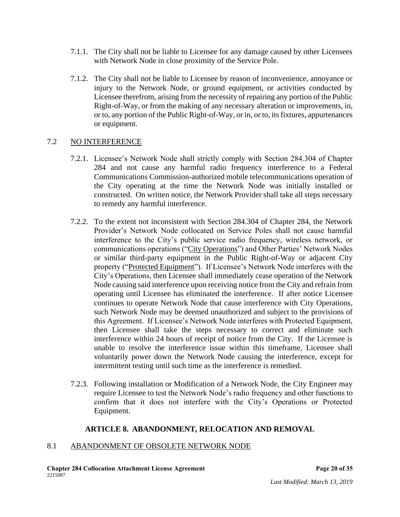- 7.1.1. The City shall not be liable to Licensee for any damage caused by other Licensees with Network Node in close proximity of the Service Pole.
- 7.1.2. The City shall not be liable to Licensee by reason of inconvenience, annoyance or injury to the Network Node, or ground equipment, or activities conducted by Licensee therefrom, arising from the necessity of repairing any portion of the Public Right-of-Way, or from the making of any necessary alteration or improvements, in, or to, any portion of the Public Right-of-Way, or in, or to, its fixtures, appurtenances or equipment.

#### 7.2 NO INTERFERENCE

- 7.2.1. Licensee's Network Node shall strictly comply with Section 284.304 of Chapter 284 and not cause any harmful radio frequency interference to a Federal Communications Commission-authorized mobile telecommunications operation of the City operating at the time the Network Node was initially installed or constructed. On written notice, the Network Provider shall take all steps necessary to remedy any harmful interference.
- 7.2.2. To the extent not inconsistent with Section 284.304 of Chapter 284, the Network Provider's Network Node collocated on Service Poles shall not cause harmful interference to the City's public service radio frequency, wireless network, or communications operations ("City Operations") and Other Parties' Network Nodes or similar third-party equipment in the Public Right-of-Way or adjacent City property ("Protected Equipment"). If Licensee's Network Node interferes with the City's Operations, then Licensee shall immediately cease operation of the Network Node causing said interference upon receiving notice from the City and refrain from operating until Licensee has eliminated the interference. If after notice Licensee continues to operate Network Node that cause interference with City Operations, such Network Node may be deemed unauthorized and subject to the provisions of this Agreement. If Licensee's Network Node interferes with Protected Equipment, then Licensee shall take the steps necessary to correct and eliminate such interference within 24 hours of receipt of notice from the City. If the Licensee is unable to resolve the interference issue within this timeframe, Licensee shall voluntarily power down the Network Node causing the interference, except for intermittent testing until such time as the interference is remedied.
- 7.2.3. Following installation or Modification of a Network Node, the City Engineer may require Licensee to test the Network Node's radio frequency and other functions to confirm that it does not interfere with the City's Operations or Protected Equipment.

#### **ARTICLE 8. ABANDONMENT, RELOCATION AND REMOVAL**

#### 8.1 ABANDONMENT OF OBSOLETE NETWORK NODE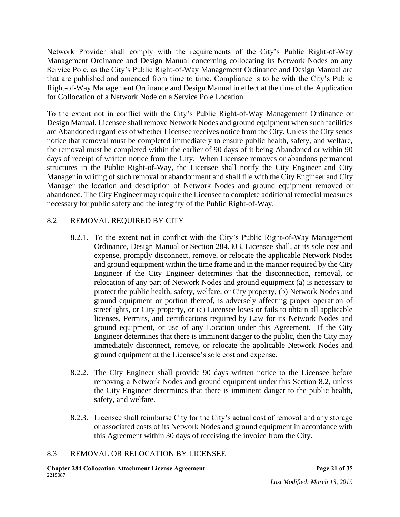Network Provider shall comply with the requirements of the City's Public Right-of-Way Management Ordinance and Design Manual concerning collocating its Network Nodes on any Service Pole, as the City's Public Right-of-Way Management Ordinance and Design Manual are that are published and amended from time to time. Compliance is to be with the City's Public Right-of-Way Management Ordinance and Design Manual in effect at the time of the Application for Collocation of a Network Node on a Service Pole Location.

To the extent not in conflict with the City's Public Right-of-Way Management Ordinance or Design Manual, Licensee shall remove Network Nodes and ground equipment when such facilities are Abandoned regardless of whether Licensee receives notice from the City. Unless the City sends notice that removal must be completed immediately to ensure public health, safety, and welfare, the removal must be completed within the earlier of 90 days of it being Abandoned or within 90 days of receipt of written notice from the City. When Licensee removes or abandons permanent structures in the Public Right-of-Way, the Licensee shall notify the City Engineer and City Manager in writing of such removal or abandonment and shall file with the City Engineer and City Manager the location and description of Network Nodes and ground equipment removed or abandoned. The City Engineer may require the Licensee to complete additional remedial measures necessary for public safety and the integrity of the Public Right-of-Way.

# 8.2 REMOVAL REQUIRED BY CITY

- 8.2.1. To the extent not in conflict with the City's Public Right-of-Way Management Ordinance, Design Manual or Section 284.303, Licensee shall, at its sole cost and expense, promptly disconnect, remove, or relocate the applicable Network Nodes and ground equipment within the time frame and in the manner required by the City Engineer if the City Engineer determines that the disconnection, removal, or relocation of any part of Network Nodes and ground equipment (a) is necessary to protect the public health, safety, welfare, or City property, (b) Network Nodes and ground equipment or portion thereof, is adversely affecting proper operation of streetlights, or City property, or (c) Licensee loses or fails to obtain all applicable licenses, Permits, and certifications required by Law for its Network Nodes and ground equipment, or use of any Location under this Agreement. If the City Engineer determines that there is imminent danger to the public, then the City may immediately disconnect, remove, or relocate the applicable Network Nodes and ground equipment at the Licensee's sole cost and expense.
- 8.2.2. The City Engineer shall provide 90 days written notice to the Licensee before removing a Network Nodes and ground equipment under this Section 8.2, unless the City Engineer determines that there is imminent danger to the public health, safety, and welfare.
- 8.2.3. Licensee shall reimburse City for the City's actual cost of removal and any storage or associated costs of its Network Nodes and ground equipment in accordance with this Agreement within 30 days of receiving the invoice from the City.

## 8.3 REMOVAL OR RELOCATION BY LICENSEE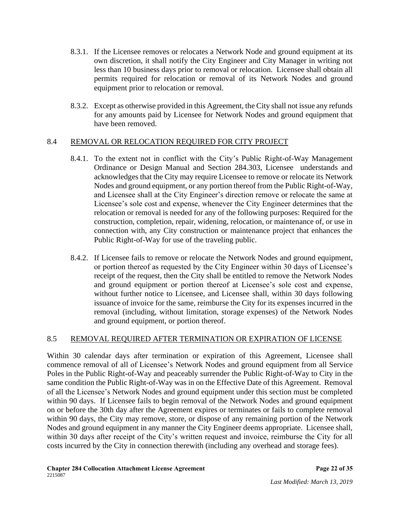- 8.3.1. If the Licensee removes or relocates a Network Node and ground equipment at its own discretion, it shall notify the City Engineer and City Manager in writing not less than 10 business days prior to removal or relocation. Licensee shall obtain all permits required for relocation or removal of its Network Nodes and ground equipment prior to relocation or removal.
- 8.3.2. Except as otherwise provided in this Agreement, the City shall not issue any refunds for any amounts paid by Licensee for Network Nodes and ground equipment that have been removed.

# 8.4 REMOVAL OR RELOCATION REQUIRED FOR CITY PROJECT

- 8.4.1. To the extent not in conflict with the City's Public Right-of-Way Management Ordinance or Design Manual and Section 284.303, Licensee understands and acknowledges that the City may require Licensee to remove or relocate its Network Nodes and ground equipment, or any portion thereof from the Public Right-of-Way, and Licensee shall at the City Engineer's direction remove or relocate the same at Licensee's sole cost and expense, whenever the City Engineer determines that the relocation or removal is needed for any of the following purposes: Required for the construction, completion, repair, widening, relocation, or maintenance of, or use in connection with, any City construction or maintenance project that enhances the Public Right-of-Way for use of the traveling public.
- 8.4.2. If Licensee fails to remove or relocate the Network Nodes and ground equipment, or portion thereof as requested by the City Engineer within 30 days of Licensee's receipt of the request, then the City shall be entitled to remove the Network Nodes and ground equipment or portion thereof at Licensee's sole cost and expense, without further notice to Licensee, and Licensee shall, within 30 days following issuance of invoice for the same, reimburse the City for its expenses incurred in the removal (including, without limitation, storage expenses) of the Network Nodes and ground equipment, or portion thereof.

## 8.5 REMOVAL REQUIRED AFTER TERMINATION OR EXPIRATION OF LICENSE

Within 30 calendar days after termination or expiration of this Agreement, Licensee shall commence removal of all of Licensee's Network Nodes and ground equipment from all Service Poles in the Public Right-of-Way and peaceably surrender the Public Right-of-Way to City in the same condition the Public Right-of-Way was in on the Effective Date of this Agreement. Removal of all the Licensee's Network Nodes and ground equipment under this section must be completed within 90 days. If Licensee fails to begin removal of the Network Nodes and ground equipment on or before the 30th day after the Agreement expires or terminates or fails to complete removal within 90 days, the City may remove, store, or dispose of any remaining portion of the Network Nodes and ground equipment in any manner the City Engineer deems appropriate. Licensee shall, within 30 days after receipt of the City's written request and invoice, reimburse the City for all costs incurred by the City in connection therewith (including any overhead and storage fees).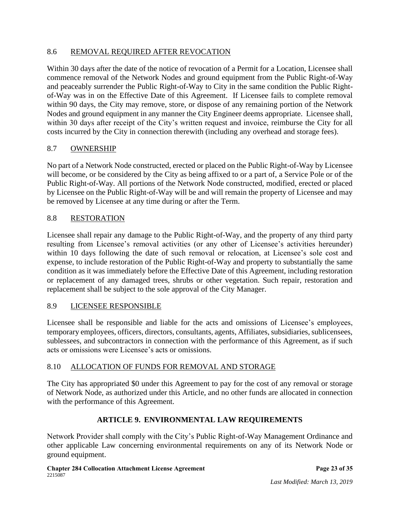## 8.6 REMOVAL REQUIRED AFTER REVOCATION

Within 30 days after the date of the notice of revocation of a Permit for a Location, Licensee shall commence removal of the Network Nodes and ground equipment from the Public Right-of-Way and peaceably surrender the Public Right-of-Way to City in the same condition the Public Rightof-Way was in on the Effective Date of this Agreement. If Licensee fails to complete removal within 90 days, the City may remove, store, or dispose of any remaining portion of the Network Nodes and ground equipment in any manner the City Engineer deems appropriate. Licensee shall, within 30 days after receipt of the City's written request and invoice, reimburse the City for all costs incurred by the City in connection therewith (including any overhead and storage fees).

## 8.7 OWNERSHIP

No part of a Network Node constructed, erected or placed on the Public Right-of-Way by Licensee will become, or be considered by the City as being affixed to or a part of, a Service Pole or of the Public Right-of-Way. All portions of the Network Node constructed, modified, erected or placed by Licensee on the Public Right-of-Way will be and will remain the property of Licensee and may be removed by Licensee at any time during or after the Term.

## 8.8 RESTORATION

Licensee shall repair any damage to the Public Right-of-Way, and the property of any third party resulting from Licensee's removal activities (or any other of Licensee's activities hereunder) within 10 days following the date of such removal or relocation, at Licensee's sole cost and expense, to include restoration of the Public Right-of-Way and property to substantially the same condition as it was immediately before the Effective Date of this Agreement, including restoration or replacement of any damaged trees, shrubs or other vegetation. Such repair, restoration and replacement shall be subject to the sole approval of the City Manager.

## 8.9 LICENSEE RESPONSIBLE

Licensee shall be responsible and liable for the acts and omissions of Licensee's employees, temporary employees, officers, directors, consultants, agents, Affiliates, subsidiaries, sublicensees, sublessees, and subcontractors in connection with the performance of this Agreement, as if such acts or omissions were Licensee's acts or omissions.

## 8.10 ALLOCATION OF FUNDS FOR REMOVAL AND STORAGE

The City has appropriated \$0 under this Agreement to pay for the cost of any removal or storage of Network Node, as authorized under this Article, and no other funds are allocated in connection with the performance of this Agreement.

# **ARTICLE 9. ENVIRONMENTAL LAW REQUIREMENTS**

Network Provider shall comply with the City's Public Right-of-Way Management Ordinance and other applicable Law concerning environmental requirements on any of its Network Node or ground equipment.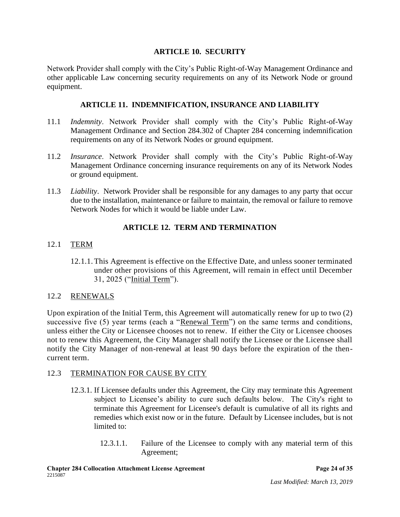## **ARTICLE 10. SECURITY**

Network Provider shall comply with the City's Public Right-of-Way Management Ordinance and other applicable Law concerning security requirements on any of its Network Node or ground equipment.

## **ARTICLE 11. INDEMNIFICATION, INSURANCE AND LIABILITY**

- 11.1 *Indemnity*. Network Provider shall comply with the City's Public Right-of-Way Management Ordinance and Section 284.302 of Chapter 284 concerning indemnification requirements on any of its Network Nodes or ground equipment.
- 11.2 *Insurance*. Network Provider shall comply with the City's Public Right-of-Way Management Ordinance concerning insurance requirements on any of its Network Nodes or ground equipment.
- 11.3 *Liability*. Network Provider shall be responsible for any damages to any party that occur due to the installation, maintenance or failure to maintain, the removal or failure to remove Network Nodes for which it would be liable under Law.

## **ARTICLE 12. TERM AND TERMINATION**

## 12.1 TERM

12.1.1.This Agreement is effective on the Effective Date, and unless sooner terminated under other provisions of this Agreement, will remain in effect until December 31, 2025 ("Initial Term").

## 12.2 RENEWALS

Upon expiration of the Initial Term, this Agreement will automatically renew for up to two (2) successive five (5) year terms (each a "Renewal Term") on the same terms and conditions, unless either the City or Licensee chooses not to renew. If either the City or Licensee chooses not to renew this Agreement, the City Manager shall notify the Licensee or the Licensee shall notify the City Manager of non-renewal at least 90 days before the expiration of the thencurrent term.

## 12.3 TERMINATION FOR CAUSE BY CITY

- 12.3.1. If Licensee defaults under this Agreement, the City may terminate this Agreement subject to Licensee's ability to cure such defaults below. The City's right to terminate this Agreement for Licensee's default is cumulative of all its rights and remedies which exist now or in the future. Default by Licensee includes, but is not limited to:
	- 12.3.1.1. Failure of the Licensee to comply with any material term of this Agreement;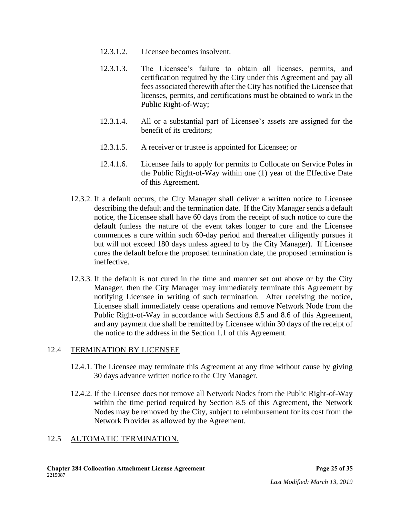- 12.3.1.2. Licensee becomes insolvent.
- 12.3.1.3. The Licensee's failure to obtain all licenses, permits, and certification required by the City under this Agreement and pay all fees associated therewith after the City has notified the Licensee that licenses, permits, and certifications must be obtained to work in the Public Right-of-Way;
- 12.3.1.4. All or a substantial part of Licensee's assets are assigned for the benefit of its creditors;
- 12.3.1.5. A receiver or trustee is appointed for Licensee; or
- 12.4.1.6. Licensee fails to apply for permits to Collocate on Service Poles in the Public Right-of-Way within one (1) year of the Effective Date of this Agreement.
- 12.3.2. If a default occurs, the City Manager shall deliver a written notice to Licensee describing the default and the termination date. If the City Manager sends a default notice, the Licensee shall have 60 days from the receipt of such notice to cure the default (unless the nature of the event takes longer to cure and the Licensee commences a cure within such 60-day period and thereafter diligently pursues it but will not exceed 180 days unless agreed to by the City Manager). If Licensee cures the default before the proposed termination date, the proposed termination is ineffective.
- 12.3.3. If the default is not cured in the time and manner set out above or by the City Manager, then the City Manager may immediately terminate this Agreement by notifying Licensee in writing of such termination. After receiving the notice, Licensee shall immediately cease operations and remove Network Node from the Public Right-of-Way in accordance with Sections 8.5 and 8.6 of this Agreement, and any payment due shall be remitted by Licensee within 30 days of the receipt of the notice to the address in the Section 1.1 of this Agreement.

## 12.4 TERMINATION BY LICENSEE

- 12.4.1. The Licensee may terminate this Agreement at any time without cause by giving 30 days advance written notice to the City Manager.
- 12.4.2. If the Licensee does not remove all Network Nodes from the Public Right-of-Way within the time period required by Section 8.5 of this Agreement, the Network Nodes may be removed by the City, subject to reimbursement for its cost from the Network Provider as allowed by the Agreement.

# 12.5 AUTOMATIC TERMINATION.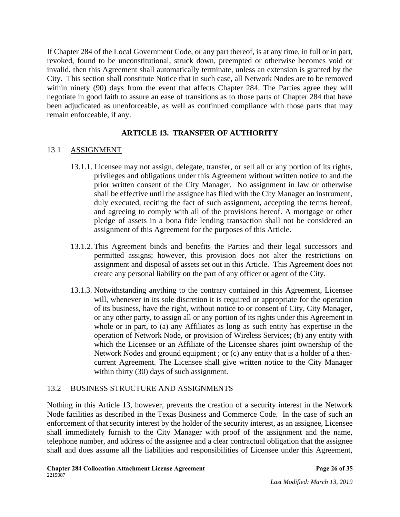If Chapter 284 of the Local Government Code, or any part thereof, is at any time, in full or in part, revoked, found to be unconstitutional, struck down, preempted or otherwise becomes void or invalid, then this Agreement shall automatically terminate, unless an extension is granted by the City. This section shall constitute Notice that in such case, all Network Nodes are to be removed within ninety (90) days from the event that affects Chapter 284. The Parties agree they will negotiate in good faith to assure an ease of transitions as to those parts of Chapter 284 that have been adjudicated as unenforceable, as well as continued compliance with those parts that may remain enforceable, if any.

# **ARTICLE 13. TRANSFER OF AUTHORITY**

## 13.1 ASSIGNMENT

- 13.1.1. Licensee may not assign, delegate, transfer, or sell all or any portion of its rights, privileges and obligations under this Agreement without written notice to and the prior written consent of the City Manager. No assignment in law or otherwise shall be effective until the assignee has filed with the City Manager an instrument, duly executed, reciting the fact of such assignment, accepting the terms hereof, and agreeing to comply with all of the provisions hereof. A mortgage or other pledge of assets in a bona fide lending transaction shall not be considered an assignment of this Agreement for the purposes of this Article.
- 13.1.2.This Agreement binds and benefits the Parties and their legal successors and permitted assigns; however, this provision does not alter the restrictions on assignment and disposal of assets set out in this Article. This Agreement does not create any personal liability on the part of any officer or agent of the City.
- 13.1.3. Notwithstanding anything to the contrary contained in this Agreement, Licensee will, whenever in its sole discretion it is required or appropriate for the operation of its business, have the right, without notice to or consent of City, City Manager, or any other party, to assign all or any portion of its rights under this Agreement in whole or in part, to (a) any Affiliates as long as such entity has expertise in the operation of Network Node, or provision of Wireless Services; (b) any entity with which the Licensee or an Affiliate of the Licensee shares joint ownership of the Network Nodes and ground equipment ; or (c) any entity that is a holder of a thencurrent Agreement. The Licensee shall give written notice to the City Manager within thirty (30) days of such assignment.

## 13.2 BUSINESS STRUCTURE AND ASSIGNMENTS

Nothing in this Article 13, however, prevents the creation of a security interest in the Network Node facilities as described in the Texas Business and Commerce Code. In the case of such an enforcement of that security interest by the holder of the security interest, as an assignee, Licensee shall immediately furnish to the City Manager with proof of the assignment and the name, telephone number, and address of the assignee and a clear contractual obligation that the assignee shall and does assume all the liabilities and responsibilities of Licensee under this Agreement,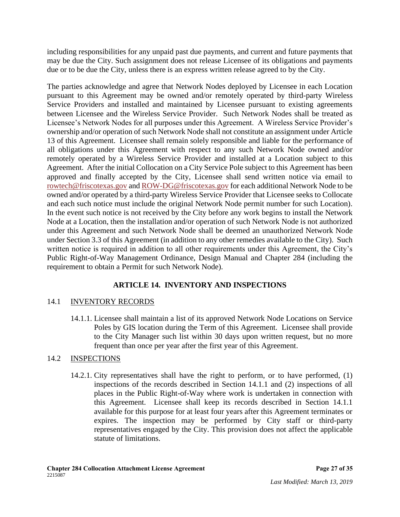including responsibilities for any unpaid past due payments, and current and future payments that may be due the City. Such assignment does not release Licensee of its obligations and payments due or to be due the City, unless there is an express written release agreed to by the City.

The parties acknowledge and agree that Network Nodes deployed by Licensee in each Location pursuant to this Agreement may be owned and/or remotely operated by third-party Wireless Service Providers and installed and maintained by Licensee pursuant to existing agreements between Licensee and the Wireless Service Provider. Such Network Nodes shall be treated as Licensee's Network Nodes for all purposes under this Agreement. A Wireless Service Provider's ownership and/or operation of such Network Node shall not constitute an assignment under Article 13 of this Agreement. Licensee shall remain solely responsible and liable for the performance of all obligations under this Agreement with respect to any such Network Node owned and/or remotely operated by a Wireless Service Provider and installed at a Location subject to this Agreement. After the initial Collocation on a City Service Pole subject to this Agreement has been approved and finally accepted by the City, Licensee shall send written notice via email to [rowtech@friscotexas.gov](mailto:rowtech@friscotexas.gov) and [ROW-DG@friscotexas.gov](mailto:ROW-DG@friscotexas.gov) for each additional Network Node to be owned and/or operated by a third-party Wireless Service Provider that Licensee seeks to Collocate and each such notice must include the original Network Node permit number for such Location). In the event such notice is not received by the City before any work begins to install the Network Node at a Location, then the installation and/or operation of such Network Node is not authorized under this Agreement and such Network Node shall be deemed an unauthorized Network Node under Section 3.3 of this Agreement (in addition to any other remedies available to the City). Such written notice is required in addition to all other requirements under this Agreement, the City's Public Right-of-Way Management Ordinance, Design Manual and Chapter 284 (including the requirement to obtain a Permit for such Network Node).

# **ARTICLE 14. INVENTORY AND INSPECTIONS**

## 14.1 INVENTORY RECORDS

14.1.1. Licensee shall maintain a list of its approved Network Node Locations on Service Poles by GIS location during the Term of this Agreement. Licensee shall provide to the City Manager such list within 30 days upon written request, but no more frequent than once per year after the first year of this Agreement.

## 14.2 INSPECTIONS

14.2.1. City representatives shall have the right to perform, or to have performed, (1) inspections of the records described in Section 14.1.1 and (2) inspections of all places in the Public Right-of-Way where work is undertaken in connection with this Agreement. Licensee shall keep its records described in Section 14.1.1 available for this purpose for at least four years after this Agreement terminates or expires. The inspection may be performed by City staff or third-party representatives engaged by the City. This provision does not affect the applicable statute of limitations.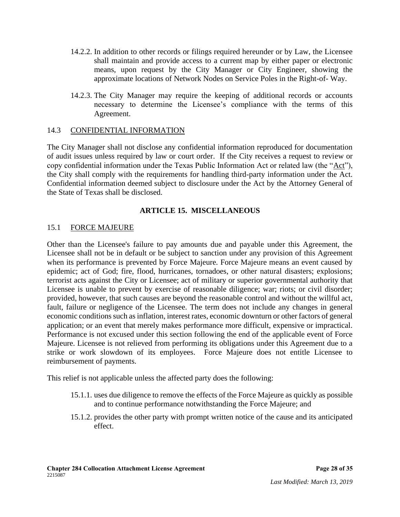- 14.2.2. In addition to other records or filings required hereunder or by Law, the Licensee shall maintain and provide access to a current map by either paper or electronic means, upon request by the City Manager or City Engineer, showing the approximate locations of Network Nodes on Service Poles in the Right-of- Way.
- 14.2.3. The City Manager may require the keeping of additional records or accounts necessary to determine the Licensee's compliance with the terms of this Agreement.

#### 14.3 CONFIDENTIAL INFORMATION

The City Manager shall not disclose any confidential information reproduced for documentation of audit issues unless required by law or court order. If the City receives a request to review or copy confidential information under the Texas Public Information Act or related law (the "Act"), the City shall comply with the requirements for handling third-party information under the Act. Confidential information deemed subject to disclosure under the Act by the Attorney General of the State of Texas shall be disclosed.

## **ARTICLE 15. MISCELLANEOUS**

#### 15.1 FORCE MAJEURE

Other than the Licensee's failure to pay amounts due and payable under this Agreement, the Licensee shall not be in default or be subject to sanction under any provision of this Agreement when its performance is prevented by Force Majeure. Force Majeure means an event caused by epidemic; act of God; fire, flood, hurricanes, tornadoes, or other natural disasters; explosions; terrorist acts against the City or Licensee; act of military or superior governmental authority that Licensee is unable to prevent by exercise of reasonable diligence; war; riots; or civil disorder; provided, however, that such causes are beyond the reasonable control and without the willful act, fault, failure or negligence of the Licensee. The term does not include any changes in general economic conditions such as inflation, interest rates, economic downturn or other factors of general application; or an event that merely makes performance more difficult, expensive or impractical. Performance is not excused under this section following the end of the applicable event of Force Majeure. Licensee is not relieved from performing its obligations under this Agreement due to a strike or work slowdown of its employees. Force Majeure does not entitle Licensee to reimbursement of payments.

This relief is not applicable unless the affected party does the following:

- 15.1.1. uses due diligence to remove the effects of the Force Majeure as quickly as possible and to continue performance notwithstanding the Force Majeure; and
- 15.1.2. provides the other party with prompt written notice of the cause and its anticipated effect.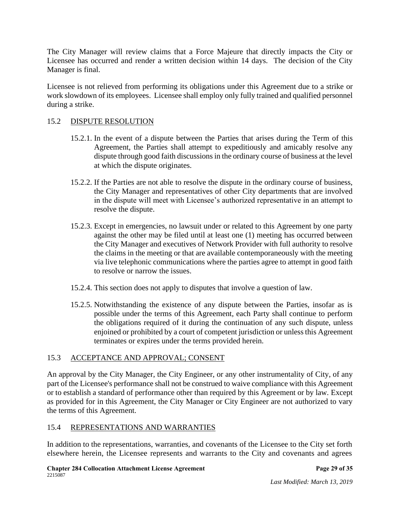The City Manager will review claims that a Force Majeure that directly impacts the City or Licensee has occurred and render a written decision within 14 days. The decision of the City Manager is final.

Licensee is not relieved from performing its obligations under this Agreement due to a strike or work slowdown of its employees. Licensee shall employ only fully trained and qualified personnel during a strike.

## 15.2 DISPUTE RESOLUTION

- 15.2.1. In the event of a dispute between the Parties that arises during the Term of this Agreement, the Parties shall attempt to expeditiously and amicably resolve any dispute through good faith discussions in the ordinary course of business at the level at which the dispute originates.
- 15.2.2. If the Parties are not able to resolve the dispute in the ordinary course of business, the City Manager and representatives of other City departments that are involved in the dispute will meet with Licensee's authorized representative in an attempt to resolve the dispute.
- 15.2.3. Except in emergencies, no lawsuit under or related to this Agreement by one party against the other may be filed until at least one (1) meeting has occurred between the City Manager and executives of Network Provider with full authority to resolve the claims in the meeting or that are available contemporaneously with the meeting via live telephonic communications where the parties agree to attempt in good faith to resolve or narrow the issues.
- 15.2.4. This section does not apply to disputes that involve a question of law.
- 15.2.5. Notwithstanding the existence of any dispute between the Parties, insofar as is possible under the terms of this Agreement, each Party shall continue to perform the obligations required of it during the continuation of any such dispute, unless enjoined or prohibited by a court of competent jurisdiction or unless this Agreement terminates or expires under the terms provided herein.

# 15.3 ACCEPTANCE AND APPROVAL; CONSENT

An approval by the City Manager, the City Engineer, or any other instrumentality of City, of any part of the Licensee's performance shall not be construed to waive compliance with this Agreement or to establish a standard of performance other than required by this Agreement or by law. Except as provided for in this Agreement, the City Manager or City Engineer are not authorized to vary the terms of this Agreement.

# 15.4 REPRESENTATIONS AND WARRANTIES

In addition to the representations, warranties, and covenants of the Licensee to the City set forth elsewhere herein, the Licensee represents and warrants to the City and covenants and agrees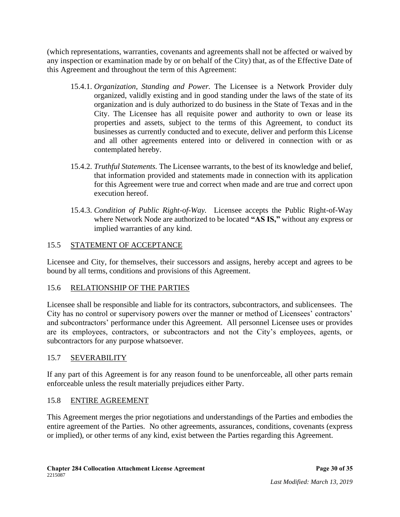(which representations, warranties, covenants and agreements shall not be affected or waived by any inspection or examination made by or on behalf of the City) that, as of the Effective Date of this Agreement and throughout the term of this Agreement:

- 15.4.1. *Organization, Standing and Power.* The Licensee is a Network Provider duly organized, validly existing and in good standing under the laws of the state of its organization and is duly authorized to do business in the State of Texas and in the City. The Licensee has all requisite power and authority to own or lease its properties and assets, subject to the terms of this Agreement, to conduct its businesses as currently conducted and to execute, deliver and perform this License and all other agreements entered into or delivered in connection with or as contemplated hereby.
- 15.4.2. *Truthful Statements.* The Licensee warrants, to the best of its knowledge and belief, that information provided and statements made in connection with its application for this Agreement were true and correct when made and are true and correct upon execution hereof.
- 15.4.3. *Condition of Public Right-of-Way.*Licensee accepts the Public Right-of-Way where Network Node are authorized to be located **"AS IS,"** without any express or implied warranties of any kind.

# 15.5 STATEMENT OF ACCEPTANCE

Licensee and City, for themselves, their successors and assigns, hereby accept and agrees to be bound by all terms, conditions and provisions of this Agreement.

# 15.6 RELATIONSHIP OF THE PARTIES

Licensee shall be responsible and liable for its contractors, subcontractors, and sublicensees. The City has no control or supervisory powers over the manner or method of Licensees' contractors' and subcontractors' performance under this Agreement. All personnel Licensee uses or provides are its employees, contractors, or subcontractors and not the City's employees, agents, or subcontractors for any purpose whatsoever.

# 15.7 SEVERABILITY

If any part of this Agreement is for any reason found to be unenforceable, all other parts remain enforceable unless the result materially prejudices either Party.

# 15.8 ENTIRE AGREEMENT

This Agreement merges the prior negotiations and understandings of the Parties and embodies the entire agreement of the Parties. No other agreements, assurances, conditions, covenants (express or implied), or other terms of any kind, exist between the Parties regarding this Agreement.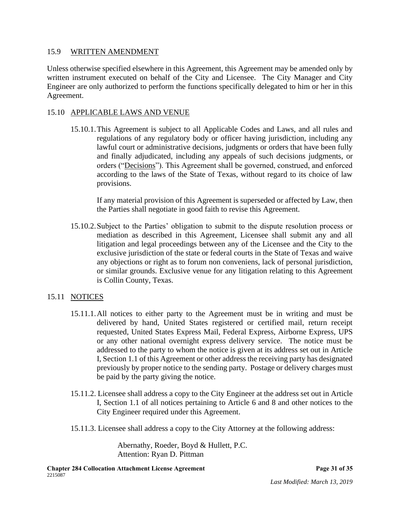#### 15.9 WRITTEN AMENDMENT

Unless otherwise specified elsewhere in this Agreement, this Agreement may be amended only by written instrument executed on behalf of the City and Licensee. The City Manager and City Engineer are only authorized to perform the functions specifically delegated to him or her in this Agreement.

## 15.10 APPLICABLE LAWS AND VENUE

15.10.1.This Agreement is subject to all Applicable Codes and Laws, and all rules and regulations of any regulatory body or officer having jurisdiction, including any lawful court or administrative decisions, judgments or orders that have been fully and finally adjudicated, including any appeals of such decisions judgments, or orders ("Decisions"). This Agreement shall be governed, construed, and enforced according to the laws of the State of Texas, without regard to its choice of law provisions.

If any material provision of this Agreement is superseded or affected by Law, then the Parties shall negotiate in good faith to revise this Agreement.

15.10.2.Subject to the Parties' obligation to submit to the dispute resolution process or mediation as described in this Agreement, Licensee shall submit any and all litigation and legal proceedings between any of the Licensee and the City to the exclusive jurisdiction of the state or federal courts in the State of Texas and waive any objections or right as to forum non conveniens, lack of personal jurisdiction, or similar grounds. Exclusive venue for any litigation relating to this Agreement is Collin County, Texas.

## 15.11 NOTICES

- 15.11.1.All notices to either party to the Agreement must be in writing and must be delivered by hand, United States registered or certified mail, return receipt requested, United States Express Mail, Federal Express, Airborne Express, UPS or any other national overnight express delivery service. The notice must be addressed to the party to whom the notice is given at its address set out in Article I, Section 1.1 of this Agreement or other address the receiving party has designated previously by proper notice to the sending party. Postage or delivery charges must be paid by the party giving the notice.
- 15.11.2. Licensee shall address a copy to the City Engineer at the address set out in Article I, Section 1.1 of all notices pertaining to Article 6 and 8 and other notices to the City Engineer required under this Agreement.
- 15.11.3. Licensee shall address a copy to the City Attorney at the following address:

Abernathy, Roeder, Boyd & Hullett, P.C. Attention: Ryan D. Pittman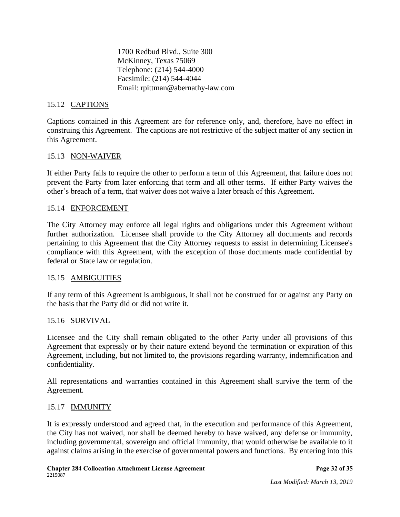1700 Redbud Blvd., Suite 300 McKinney, Texas 75069 Telephone: (214) 544-4000 Facsimile: (214) 544-4044 Email: rpittman@abernathy-law.com

## 15.12 CAPTIONS

Captions contained in this Agreement are for reference only, and, therefore, have no effect in construing this Agreement. The captions are not restrictive of the subject matter of any section in this Agreement.

## 15.13 NON-WAIVER

If either Party fails to require the other to perform a term of this Agreement, that failure does not prevent the Party from later enforcing that term and all other terms. If either Party waives the other's breach of a term, that waiver does not waive a later breach of this Agreement.

## 15.14 ENFORCEMENT

The City Attorney may enforce all legal rights and obligations under this Agreement without further authorization. Licensee shall provide to the City Attorney all documents and records pertaining to this Agreement that the City Attorney requests to assist in determining Licensee's compliance with this Agreement, with the exception of those documents made confidential by federal or State law or regulation.

## 15.15 AMBIGUITIES

If any term of this Agreement is ambiguous, it shall not be construed for or against any Party on the basis that the Party did or did not write it.

## 15.16 SURVIVAL

Licensee and the City shall remain obligated to the other Party under all provisions of this Agreement that expressly or by their nature extend beyond the termination or expiration of this Agreement, including, but not limited to, the provisions regarding warranty, indemnification and confidentiality.

All representations and warranties contained in this Agreement shall survive the term of the Agreement.

## 15.17 IMMUNITY

It is expressly understood and agreed that, in the execution and performance of this Agreement, the City has not waived, nor shall be deemed hereby to have waived, any defense or immunity, including governmental, sovereign and official immunity, that would otherwise be available to it against claims arising in the exercise of governmental powers and functions. By entering into this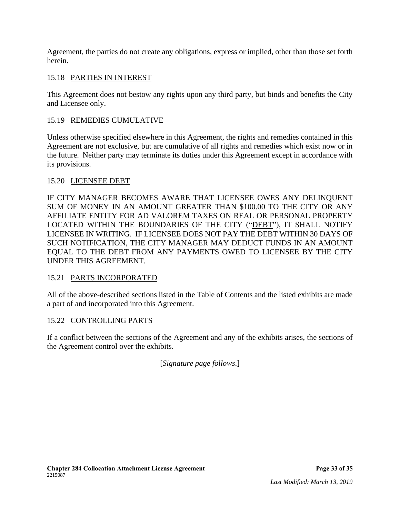Agreement, the parties do not create any obligations, express or implied, other than those set forth herein.

# 15.18 PARTIES IN INTEREST

This Agreement does not bestow any rights upon any third party, but binds and benefits the City and Licensee only.

# 15.19 REMEDIES CUMULATIVE

Unless otherwise specified elsewhere in this Agreement, the rights and remedies contained in this Agreement are not exclusive, but are cumulative of all rights and remedies which exist now or in the future. Neither party may terminate its duties under this Agreement except in accordance with its provisions.

## 15.20 LICENSEE DEBT

IF CITY MANAGER BECOMES AWARE THAT LICENSEE OWES ANY DELINQUENT SUM OF MONEY IN AN AMOUNT GREATER THAN \$100.00 TO THE CITY OR ANY AFFILIATE ENTITY FOR AD VALOREM TAXES ON REAL OR PERSONAL PROPERTY LOCATED WITHIN THE BOUNDARIES OF THE CITY ("DEBT"), IT SHALL NOTIFY LICENSEE IN WRITING. IF LICENSEE DOES NOT PAY THE DEBT WITHIN 30 DAYS OF SUCH NOTIFICATION, THE CITY MANAGER MAY DEDUCT FUNDS IN AN AMOUNT EQUAL TO THE DEBT FROM ANY PAYMENTS OWED TO LICENSEE BY THE CITY UNDER THIS AGREEMENT.

## 15.21 PARTS INCORPORATED

All of the above-described sections listed in the Table of Contents and the listed exhibits are made a part of and incorporated into this Agreement.

## 15.22 CONTROLLING PARTS

If a conflict between the sections of the Agreement and any of the exhibits arises, the sections of the Agreement control over the exhibits.

[*Signature page follows*.]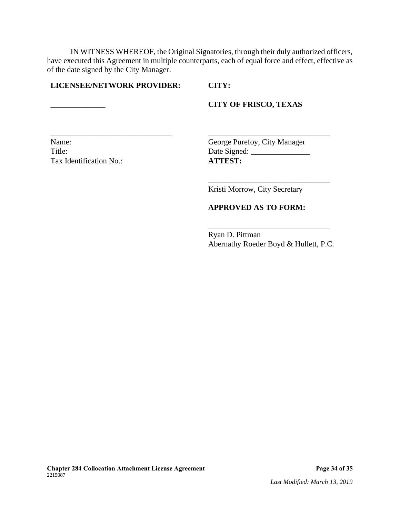IN WITNESS WHEREOF, the Original Signatories, through their duly authorized officers, have executed this Agreement in multiple counterparts, each of equal force and effect, effective as of the date signed by the City Manager.

\_\_\_\_\_\_\_\_\_\_\_\_\_\_\_\_\_\_\_\_\_\_\_\_\_\_\_\_\_\_\_ \_\_\_\_\_\_\_\_\_\_\_\_\_\_\_\_\_\_\_\_\_\_\_\_\_\_\_\_\_\_\_

#### **LICENSEE/NETWORK PROVIDER: CITY:**

#### **\_\_\_\_\_\_\_\_\_\_\_\_\_\_ CITY OF FRISCO, TEXAS**

Tax Identification No.: **ATTEST:**

Name: George Purefoy, City Manager Title: Date Signed: \_\_\_\_\_\_\_\_\_\_\_\_\_\_\_

Kristi Morrow, City Secretary

\_\_\_\_\_\_\_\_\_\_\_\_\_\_\_\_\_\_\_\_\_\_\_\_\_\_\_\_\_\_\_

#### **APPROVED AS TO FORM:**

Ryan D. Pittman Abernathy Roeder Boyd & Hullett, P.C.

\_\_\_\_\_\_\_\_\_\_\_\_\_\_\_\_\_\_\_\_\_\_\_\_\_\_\_\_\_\_\_